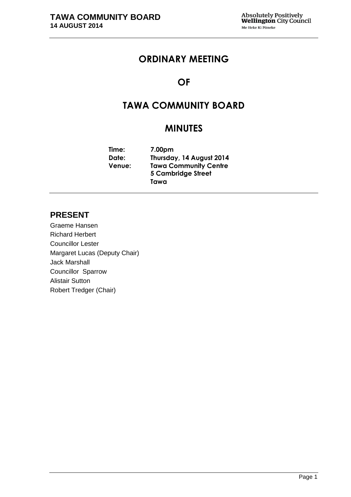## **ORDINARY MEETING**

## **OF**

## **TAWA COMMUNITY BOARD**

## **MINUTES**

**Time: 7.00pm Date: Thursday, 14 August 2014 Venue: Tawa Community Centre 5 Cambridge Street Tawa**

## **PRESENT**

Graeme Hansen Richard Herbert Councillor Lester Margaret Lucas (Deputy Chair) Jack Marshall Councillor Sparrow Alistair Sutton Robert Tredger (Chair)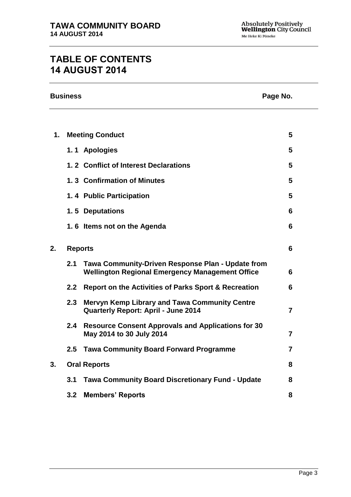# **TABLE OF CONTENTS 14 AUGUST 2014**

| <b>Business</b> |                     |                                                                                                             | Page No. |
|-----------------|---------------------|-------------------------------------------------------------------------------------------------------------|----------|
|                 |                     |                                                                                                             |          |
| 1.              |                     | <b>Meeting Conduct</b>                                                                                      | 5        |
|                 |                     | 1.1 Apologies                                                                                               | 5        |
|                 |                     | 1.2 Conflict of Interest Declarations                                                                       | 5        |
|                 |                     | 1.3 Confirmation of Minutes                                                                                 | 5        |
|                 |                     | 1.4 Public Participation                                                                                    | 5        |
|                 |                     | 1.5 Deputations                                                                                             | 6        |
|                 |                     | 1.6 Items not on the Agenda                                                                                 | 6        |
| 2.              | <b>Reports</b>      |                                                                                                             | 6        |
|                 | 2.1                 | Tawa Community-Driven Response Plan - Update from<br><b>Wellington Regional Emergency Management Office</b> | 6        |
|                 | 2.2                 | <b>Report on the Activities of Parks Sport &amp; Recreation</b>                                             | 6        |
|                 | 2.3                 | <b>Mervyn Kemp Library and Tawa Community Centre</b><br><b>Quarterly Report: April - June 2014</b>          | 7        |
|                 | 2.4                 | <b>Resource Consent Approvals and Applications for 30</b><br>May 2014 to 30 July 2014                       | 7        |
|                 | 2.5                 | <b>Tawa Community Board Forward Programme</b>                                                               | 7        |
| 3.              | <b>Oral Reports</b> |                                                                                                             | 8        |
|                 | 3.1                 | <b>Tawa Community Board Discretionary Fund - Update</b>                                                     | 8        |
|                 | 3.2                 | <b>Members' Reports</b>                                                                                     | 8        |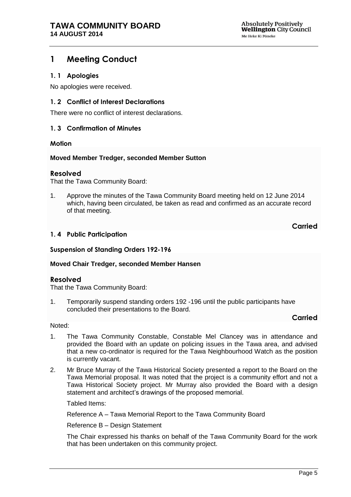## <span id="page-4-0"></span>**1 Meeting Conduct**

#### <span id="page-4-1"></span>**1. 1 Apologies**

No apologies were received.

#### <span id="page-4-2"></span>**1. 2 Conflict of Interest Declarations**

There were no conflict of interest declarations.

#### <span id="page-4-3"></span>**1. 3 Confirmation of Minutes**

#### **Motion**

#### **Moved Member Tredger, seconded Member Sutton**

#### **Resolved**

That the Tawa Community Board:

1. Approve the minutes of the Tawa Community Board meeting held on 12 June 2014 which, having been circulated, be taken as read and confirmed as an accurate record of that meeting.

**Carried**

#### **1. 4 Public Participation**

#### **Suspension of Standing Orders 192-196**

#### **Moved Chair Tredger, seconded Member Hansen**

#### **Resolved**

That the Tawa Community Board:

1. Temporarily suspend standing orders 192 -196 until the public participants have concluded their presentations to the Board.

#### **Carried**

#### Noted:

- 1. The Tawa Community Constable, Constable Mel Clancey was in attendance and provided the Board with an update on policing issues in the Tawa area, and advised that a new co-ordinator is required for the Tawa Neighbourhood Watch as the position is currently vacant.
- 2. Mr Bruce Murray of the Tawa Historical Society presented a report to the Board on the Tawa Memorial proposal. It was noted that the project is a community effort and not a Tawa Historical Society project. Mr Murray also provided the Board with a design statement and architect's drawings of the proposed memorial.

Tabled Items:

Reference A – Tawa Memorial Report to the Tawa Community Board

Reference B – Design Statement

The Chair expressed his thanks on behalf of the Tawa Community Board for the work that has been undertaken on this community project.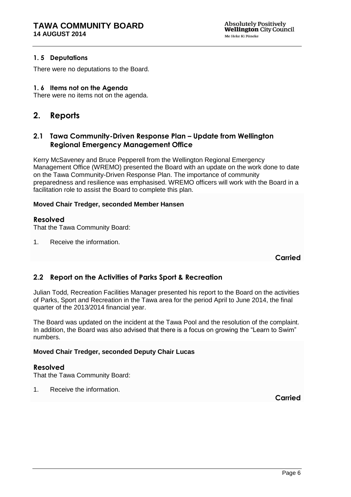#### **1. 5 Deputations**

There were no deputations to the Board.

#### **1. 6 Items not on the Agenda**

There were no items not on the agenda.

## <span id="page-5-0"></span>**2. Reports**

### <span id="page-5-1"></span>**2.1 Tawa Community-Driven Response Plan – Update from Wellington Regional Emergency Management Office**

Kerry McSaveney and Bruce Pepperell from the Wellington Regional Emergency Management Office (WREMO) presented the Board with an update on the work done to date on the Tawa Community-Driven Response Plan. The importance of community preparedness and resilience was emphasised. WREMO officers will work with the Board in a facilitation role to assist the Board to complete this plan.

#### **Moved Chair Tredger, seconded Member Hansen**

#### **Resolved**

That the Tawa Community Board:

1. Receive the information.

**Carried**

### <span id="page-5-2"></span>**2.2 Report on the Activities of Parks Sport & Recreation**

Julian Todd, Recreation Facilities Manager presented his report to the Board on the activities of Parks, Sport and Recreation in the Tawa area for the period April to June 2014, the final quarter of the 2013/2014 financial year.

The Board was updated on the incident at the Tawa Pool and the resolution of the complaint. In addition, the Board was also advised that there is a focus on growing the "Learn to Swim" numbers.

#### **Moved Chair Tredger, seconded Deputy Chair Lucas**

#### **Resolved**

That the Tawa Community Board:

1. Receive the information.

**Carried**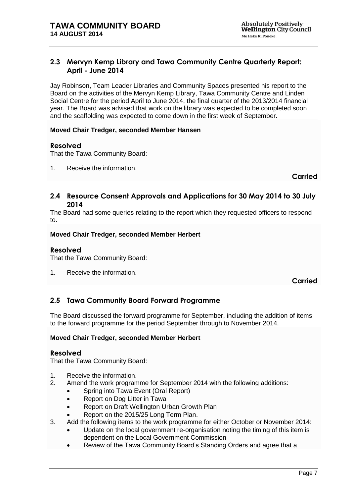### <span id="page-6-0"></span>**2.3 Mervyn Kemp Library and Tawa Community Centre Quarterly Report: April - June 2014**

Jay Robinson, Team Leader Libraries and Community Spaces presented his report to the Board on the activities of the Mervyn Kemp Library, Tawa Community Centre and Linden Social Centre for the period April to June 2014, the final quarter of the 2013/2014 financial year. The Board was advised that work on the library was expected to be completed soon and the scaffolding was expected to come down in the first week of September.

#### **Moved Chair Tredger, seconded Member Hansen**

#### **Resolved**

That the Tawa Community Board:

1. Receive the information.

**Carried**

### <span id="page-6-1"></span>**2.4 Resource Consent Approvals and Applications for 30 May 2014 to 30 July 2014**

The Board had some queries relating to the report which they requested officers to respond to.

#### **Moved Chair Tredger, seconded Member Herbert**

#### **Resolved**

That the Tawa Community Board:

1. Receive the information.

**Carried**

## <span id="page-6-2"></span>**2.5 Tawa Community Board Forward Programme**

The Board discussed the forward programme for September, including the addition of items to the forward programme for the period September through to November 2014.

#### **Moved Chair Tredger, seconded Member Herbert**

#### **Resolved**

That the Tawa Community Board:

- 1. Receive the information.
- 2. Amend the work programme for September 2014 with the following additions:
	- Spring into Tawa Event (Oral Report)
		- Report on Dog Litter in Tawa
		- Report on Draft Wellington Urban Growth Plan
		- Report on the 2015/25 Long Term Plan.
- 3. Add the following items to the work programme for either October or November 2014:
	- Update on the local government re-organisation noting the timing of this item is dependent on the Local Government Commission
	- Review of the Tawa Community Board's Standing Orders and agree that a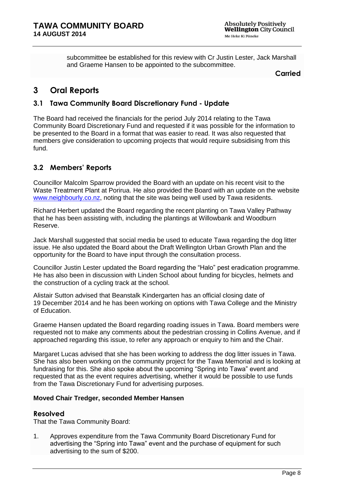subcommittee be established for this review with Cr Justin Lester, Jack Marshall and Graeme Hansen to be appointed to the subcommittee.

**Carried**

## <span id="page-7-0"></span>**3 Oral Reports**

## **3.1 Tawa Community Board Discretionary Fund - Update**

The Board had received the financials for the period July 2014 relating to the Tawa Community Board Discretionary Fund and requested if it was possible for the information to be presented to the Board in a format that was easier to read. It was also requested that members give consideration to upcoming projects that would require subsidising from this fund.

## **3.2 Members' Reports**

Councillor Malcolm Sparrow provided the Board with an update on his recent visit to the Waste Treatment Plant at Porirua. He also provided the Board with an update on the website [www.neighbourly.co.nz,](http://www.neighbourly.co.nz/) noting that the site was being well used by Tawa residents.

Richard Herbert updated the Board regarding the recent planting on Tawa Valley Pathway that he has been assisting with, including the plantings at Willowbank and Woodburn Reserve.

Jack Marshall suggested that social media be used to educate Tawa regarding the dog litter issue. He also updated the Board about the Draft Wellington Urban Growth Plan and the opportunity for the Board to have input through the consultation process.

Councillor Justin Lester updated the Board regarding the "Halo" pest eradication programme. He has also been in discussion with Linden School about funding for bicycles, helmets and the construction of a cycling track at the school.

Alistair Sutton advised that Beanstalk Kindergarten has an official closing date of 19 December 2014 and he has been working on options with Tawa College and the Ministry of Education.

Graeme Hansen updated the Board regarding roading issues in Tawa. Board members were requested not to make any comments about the pedestrian crossing in Collins Avenue, and if approached regarding this issue, to refer any approach or enquiry to him and the Chair.

Margaret Lucas advised that she has been working to address the dog litter issues in Tawa. She has also been working on the community project for the Tawa Memorial and is looking at fundraising for this. She also spoke about the upcoming "Spring into Tawa" event and requested that as the event requires advertising, whether it would be possible to use funds from the Tawa Discretionary Fund for advertising purposes.

#### **Moved Chair Tredger, seconded Member Hansen**

### **Resolved**

That the Tawa Community Board:

1. Approves expenditure from the Tawa Community Board Discretionary Fund for advertising the "Spring into Tawa" event and the purchase of equipment for such advertising to the sum of \$200.